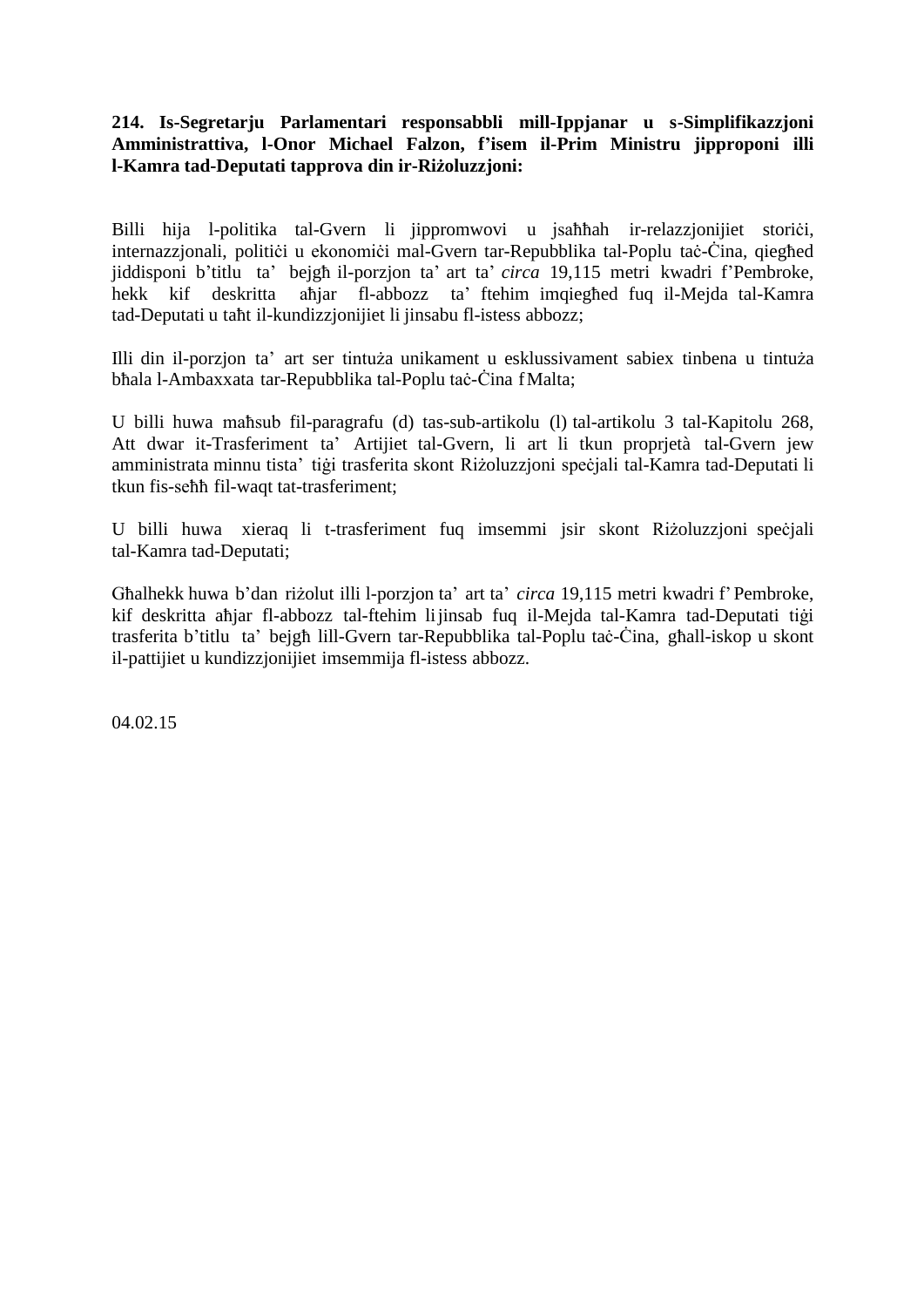## **214. Is-Segretarju Parlamentari responsabbli mill-Ippjanar u s-Simplifikazzjoni Amministrattiva, l-Onor Michael Falzon, f'isem il-Prim Ministru jipproponi illi l-Kamra tad-Deputati tapprova din ir-Riżoluzzjoni:**

Billi hija l-politika tal-Gvern li jippromwovi u jsahhah ir-relazzjonijiet storići, internazzjonali, politici u ekonomici mal-Gvern tar-Repubblika tal-Poplu tac-Cina, qieghed jiddisponi b'titlu ta' bejgħ il-porzjon ta' art ta' *circa* 19,115 metri kwadri f'Pembroke, hekk kif deskritta aħjar fl-abbozz ta' ftehim imqiegħed fuq il-Mejda tal-Kamra tad-Deputati u taħt il-kundizzjonijiet li jinsabu fl-istess abbozz;

Illi din il-porzjon ta' art ser tintuża unikament u esklussivament sabiex tinbena u tintuża bħala l-Ambaxxata tar-Repubblika tal-Poplu taċ-Ċina fMalta;

U billi huwa maħsub fil-paragrafu (d) tas-sub-artikolu (l) tal-artikolu 3 tal-Kapitolu 268, Att dwar it-Trasferiment ta' Artijiet tal-Gvern, li art li tkun proprjetà tal-Gvern jew amministrata minnu tista' tigi trasferita skont Riżoluzzjoni speċjali tal-Kamra tad-Deputati li tkun fis-seħħ fil-waqt tat-trasferiment;

U billi huwa xieraq li t-trasferiment fuq imsemmi jsir skont Riżoluzzjoni speċjali tal-Kamra tad-Deputati;

Għalhekk huwa b'dan riżolut illi l-porzjon ta' art ta' *circa* 19,115 metri kwadri f'Pembroke, kif deskritta aħjar fl-abbozz tal-ftehim lijinsab fuq il-Mejda tal-Kamra tad-Deputati tiġi trasferita b'titlu ta' bejgħ lill-Gvern tar-Repubblika tal-Poplu taċ-Ċina, għall-iskop u skont il-pattijiet u kundizzjonijiet imsemmija fl-istess abbozz.

04.02.15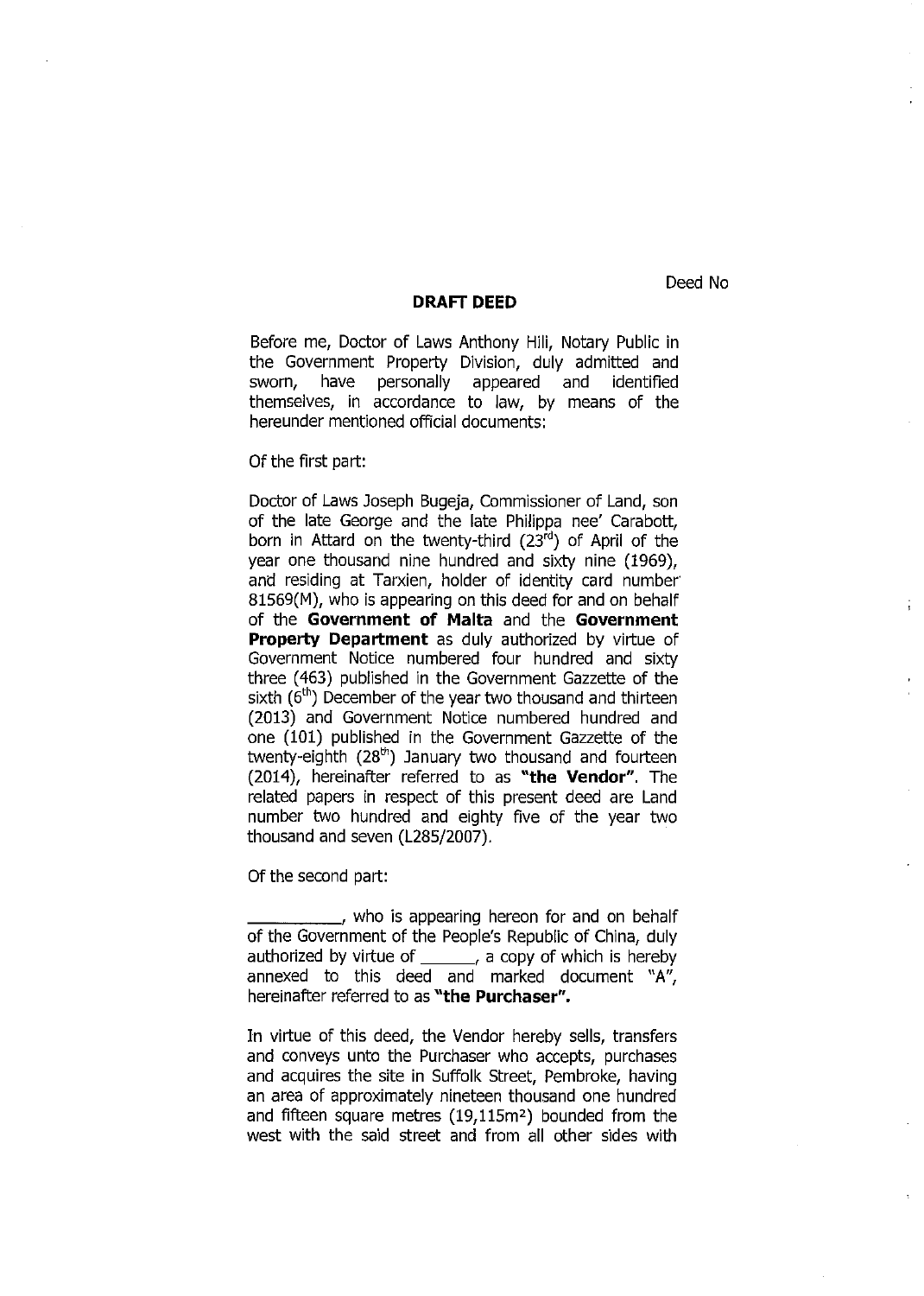Deed No

## **DRAFr DEED**

Before me, Doctor of Laws Anthony Hili, Notary Public in the Government Property Division, duly admitted and sworn, have personally appeared and identified themselves, in accordance to law, by means of the hereunder mentioned official documents:

## Of the first part:

Doctor of Laws Joseph Bugeja, Commissioner of Land, son of the late George and the late Philippa nee' Carabott, born in Attard on the twenty-third (23<sup>rd</sup>) of April of the year one thousand nine hundred and sixty nine (1969), and residing at Tarxien, holder of identity card number 81569(M), who is appearing on this deed for and on behalf of the **Government of Malta** and the **Government Property Department** as duly authorized by virtue of Government Notice numbered four hundred and sixty three (463) published in the Government Gazzette of the sixth  $(6<sup>th</sup>)$  December of the year two thousand and thirteen (2013) and Government Notice numbered hundred and one (101) published in the Government Gazzette of the twenty-eighth (28<sup>th</sup>) January two thousand and fourteen (2014), hereinafter referred to as **"the Vendor".** The related papers in respect of this present deed are Land number two hundred and eighty five of the year two thousand and seven (L285/2007).

Of the second part:

\_\_\_\_\_ , who is appearing hereon for and on behalf of the Govern ment of the People's Republic of China, duly authorized by virtue of  $\frac{1}{1-\epsilon}$ , a copy of which is hereby annexed to this deed and marked document "A", hereinafter referred to as **"the Purchaser".** 

In virtue of this deed, the Vendor hereby sells, transfers and conveys unto the Purchaser who accepts, purchases and acquires the site in Suffolk Street, Pembroke, having an area of approximately nineteen thousand one hundred and fifteen square metres  $(19,115m^2)$  bounded from the west with the said street and from all other sides with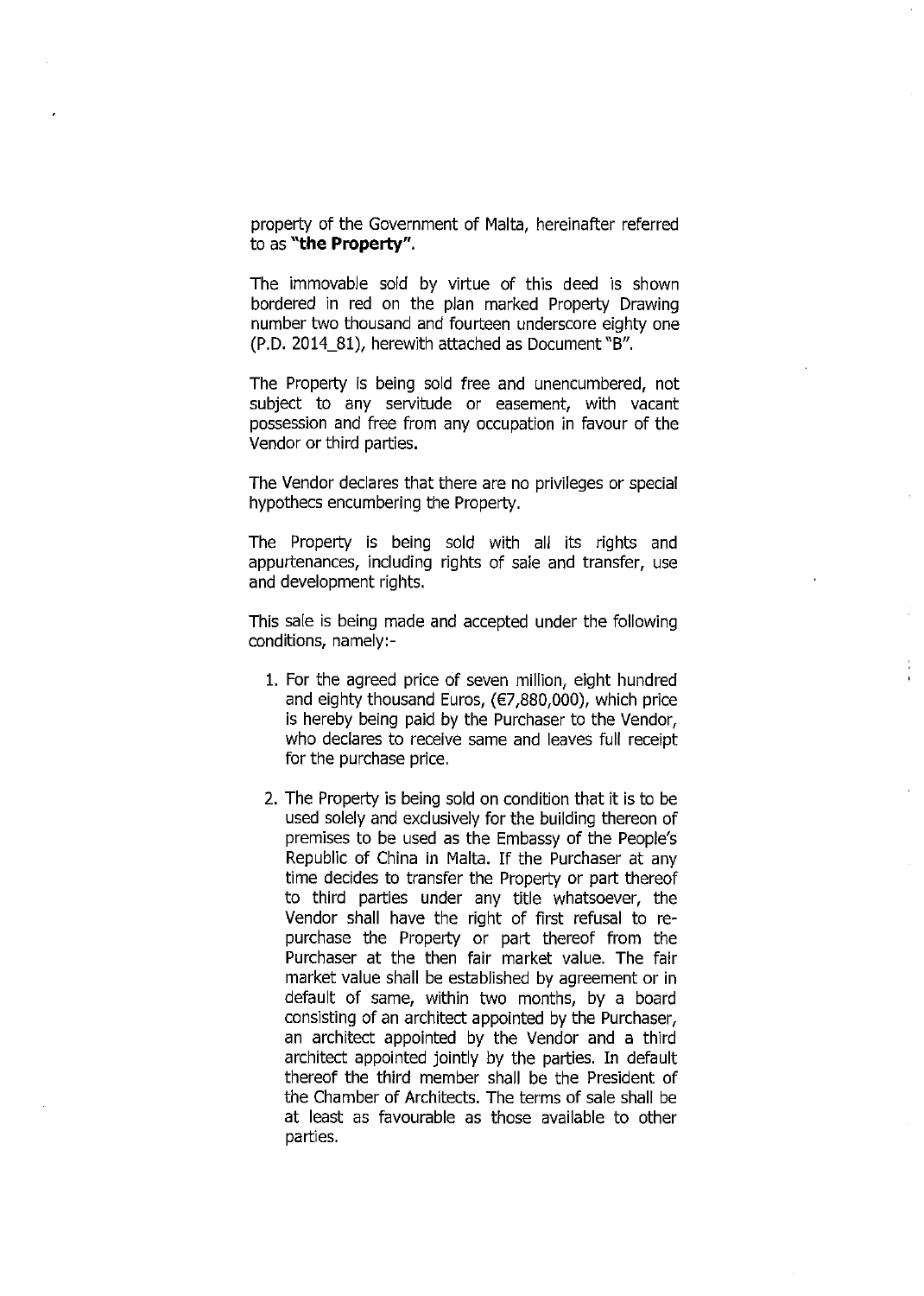property of the Government of Malta, hereinafter referred to as **"the Property".** 

The immovable sold by virtue of this deed is shown bordered in red on the plan marked Property Drawing number two thousand and fourteen underscore eighty one (P.D. 2014\_81), herewith attached as Document "B".

The Property is being sold free and unencumbered, not subject to any servitude or easement, with vacant possession and free from any occupation in favour of the Vendor or third parties.

The Vendor declares that there are no privileges or special hypothecs encumbering the Property.

The Property is being sold with all its rights and appurtenances, including rights of sale and transfer, use and development rights.

This sale is being made and accepted under the following conditions, namely:-

- 1. For the agreed price of seven million, eight hundred and eighty thousand Euros, (€7,880,000), which price is hereby being paid by the Purchaser to the Vendor, who declares to receive same and leaves full receipt for the purchase price.
- 2. The Property is being sold on condition that it is to be used solely and exclusively for the building thereon of premises to be used as the Embassy of the People's Republic of China in Malta. !f the Purchaser at any time decides to transfer the Property or part thereof to third parties under any title whatsoever, the Vendor shall have the right of first refusal to repurchase the Property or part thereof from the Purchaser at the then fair market value. The fair market value shall be established by agreement or in default of same, within two months, by a board consisting of an architect appointed by the Purchaser, an architect appointed by the Vendor and a third architect appointed jointly by the parties. In default thereof the third member shall be the President of the Chamber of Architects. The terms of sale shall be at least as favourable as those available to other parties.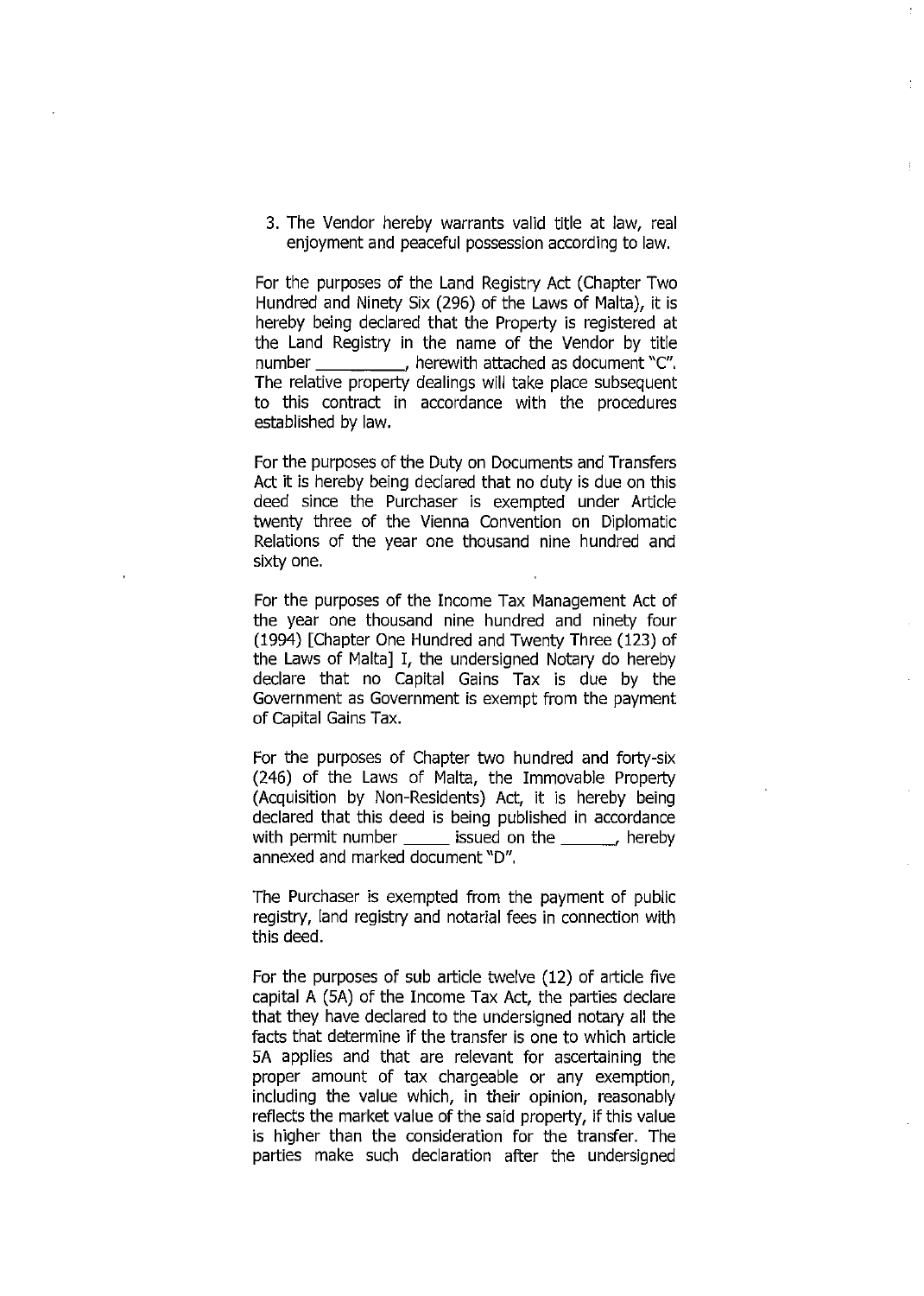3. The Vendor hereby warrants valid title at law, real enjoyment and peaceful possession according to law.

For the purposes of the Land Registry Act (Chapter Two Hundred and Ninety Six (296) of the Laws of Malta), it is hereby being declared that the Property is registered at the Land Registry in the name of the Vendor by title number \_\_\_\_\_\_\_\_\_\_, herewith attached as document "C". The relative property dealings will take place subsequent to this contract in accordance with the procedures established by law.

For the purposes of the Duty on Documents and Transfers Act it is hereby being declared that no duty is due on this deed since the Purchaser is exempted under Article twenty three of the Vienna Convention on Diplomatic Relations of the year one thousand nine hundred and sixty one.

For the purposes of the Income Tax Management Act of the year one thousand nine hundred and ninety four (1994) [Chapter One Hundred and Twenty Three (123) of the Laws of Malta] I, the undersigned Notary do hereby declare that no Capital Gains Tax is due by the Government as Government is exempt from the payment of Capital Gains Tax.

For the purposes of Chapter two hundred and forty-six (246) of the Laws of Malta, the Immovable Property (Acquisition by Non-Residents) Act, it is hereby being declared that this deed is being published in accordance with permit number \_\_\_\_\_\_ issued on the \_\_\_\_\_\_, hereby annexed and marked document "D".

The Purchaser is exempted from the payment of public registry, land registry and notarial fees in connection with this deed.

For the purposes of sub article twelve (12) of article five capital A (SA) of the Income Tax Act, the parties declare that they have declared to the undersigned notary all the facts that determine if the transfer is one to which article SA applies and that are relevant for ascertaining the proper amount of tax chargeable or any exemption, including the value which, in their opinion, reasonably reflects the market value of the said property, if this value is higher than the consideration for the transfer. The parties make such declaration after the undersigned